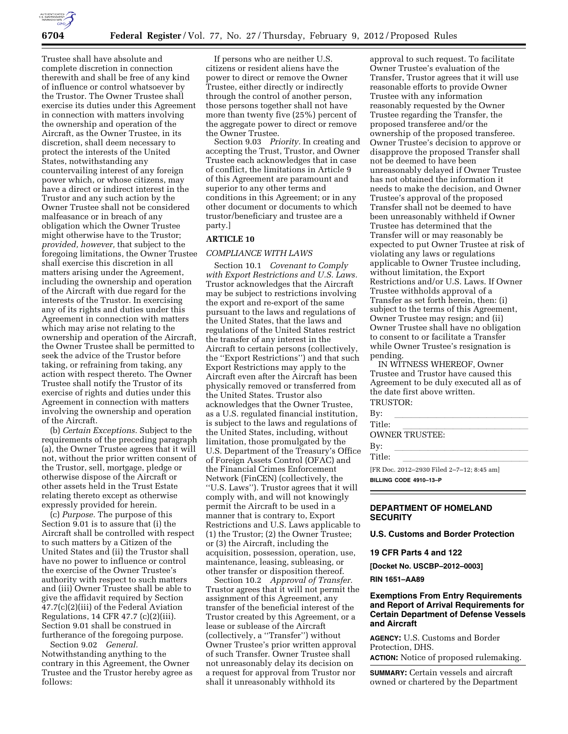

Trustee shall have absolute and complete discretion in connection therewith and shall be free of any kind of influence or control whatsoever by the Trustor. The Owner Trustee shall exercise its duties under this Agreement in connection with matters involving the ownership and operation of the Aircraft, as the Owner Trustee, in its discretion, shall deem necessary to protect the interests of the United States, notwithstanding any countervailing interest of any foreign power which, or whose citizens, may have a direct or indirect interest in the Trustor and any such action by the Owner Trustee shall not be considered malfeasance or in breach of any obligation which the Owner Trustee might otherwise have to the Trustor; *provided, however,* that subject to the foregoing limitations, the Owner Trustee shall exercise this discretion in all matters arising under the Agreement, including the ownership and operation of the Aircraft with due regard for the interests of the Trustor. In exercising any of its rights and duties under this Agreement in connection with matters which may arise not relating to the ownership and operation of the Aircraft, the Owner Trustee shall be permitted to seek the advice of the Trustor before taking, or refraining from taking, any action with respect thereto. The Owner Trustee shall notify the Trustor of its exercise of rights and duties under this Agreement in connection with matters involving the ownership and operation of the Aircraft.

(b) *Certain Exceptions.* Subject to the requirements of the preceding paragraph (a), the Owner Trustee agrees that it will not, without the prior written consent of the Trustor, sell, mortgage, pledge or otherwise dispose of the Aircraft or other assets held in the Trust Estate relating thereto except as otherwise expressly provided for herein.

(c) *Purpose.* The purpose of this Section 9.01 is to assure that (i) the Aircraft shall be controlled with respect to such matters by a Citizen of the United States and (ii) the Trustor shall have no power to influence or control the exercise of the Owner Trustee's authority with respect to such matters and (iii) Owner Trustee shall be able to give the affidavit required by Section 47.7(c)(2)(iii) of the Federal Aviation Regulations, 14 CFR 47.7 (c)(2)(iii). Section 9.01 shall be construed in furtherance of the foregoing purpose.

Section 9.02 *General.*  Notwithstanding anything to the contrary in this Agreement, the Owner Trustee and the Trustor hereby agree as follows:

If persons who are neither U.S. citizens or resident aliens have the power to direct or remove the Owner Trustee, either directly or indirectly through the control of another person, those persons together shall not have more than twenty five (25%) percent of the aggregate power to direct or remove the Owner Trustee.

Section 9.03 *Priority.* In creating and accepting the Trust, Trustor, and Owner Trustee each acknowledges that in case of conflict, the limitations in Article 9 of this Agreement are paramount and superior to any other terms and conditions in this Agreement; or in any other document or documents to which trustor/beneficiary and trustee are a party.]

## **ARTICLE 10**

### *COMPLIANCE WITH LAWS*

Section 10.1 *Covenant to Comply with Export Restrictions and U.S. Laws.*  Trustor acknowledges that the Aircraft may be subject to restrictions involving the export and re-export of the same pursuant to the laws and regulations of the United States, that the laws and regulations of the United States restrict the transfer of any interest in the Aircraft to certain persons (collectively, the ''Export Restrictions'') and that such Export Restrictions may apply to the Aircraft even after the Aircraft has been physically removed or transferred from the United States. Trustor also acknowledges that the Owner Trustee, as a U.S. regulated financial institution, is subject to the laws and regulations of the United States, including, without limitation, those promulgated by the U.S. Department of the Treasury's Office of Foreign Assets Control (OFAC) and the Financial Crimes Enforcement Network (FinCEN) (collectively, the ''U.S. Laws''). Trustor agrees that it will comply with, and will not knowingly permit the Aircraft to be used in a manner that is contrary to, Export Restrictions and U.S. Laws applicable to (1) the Trustor; (2) the Owner Trustee; or (3) the Aircraft, including the acquisition, possession, operation, use, maintenance, leasing, subleasing, or other transfer or disposition thereof.

Section 10.2 *Approval of Transfer.*  Trustor agrees that it will not permit the assignment of this Agreement, any transfer of the beneficial interest of the Trustor created by this Agreement, or a lease or sublease of the Aircraft (collectively, a ''Transfer'') without Owner Trustee's prior written approval of such Transfer. Owner Trustee shall not unreasonably delay its decision on a request for approval from Trustor nor shall it unreasonably withhold its

approval to such request. To facilitate Owner Trustee's evaluation of the Transfer, Trustor agrees that it will use reasonable efforts to provide Owner Trustee with any information reasonably requested by the Owner Trustee regarding the Transfer, the proposed transferee and/or the ownership of the proposed transferee. Owner Trustee's decision to approve or disapprove the proposed Transfer shall not be deemed to have been unreasonably delayed if Owner Trustee has not obtained the information it needs to make the decision, and Owner Trustee's approval of the proposed Transfer shall not be deemed to have been unreasonably withheld if Owner Trustee has determined that the Transfer will or may reasonably be expected to put Owner Trustee at risk of violating any laws or regulations applicable to Owner Trustee including, without limitation, the Export Restrictions and/or U.S. Laws. If Owner Trustee withholds approval of a Transfer as set forth herein, then: (i) subject to the terms of this Agreement, Owner Trustee may resign; and (ii) Owner Trustee shall have no obligation to consent to or facilitate a Transfer while Owner Trustee's resignation is pending.

IN WITNESS WHEREOF, Owner Trustee and Trustor have caused this Agreement to be duly executed all as of the date first above written. TRUSTOR:

| By:                                       |  |
|-------------------------------------------|--|
| Title:                                    |  |
| OWNER TRUSTEE:                            |  |
| By:                                       |  |
| Title:                                    |  |
| [FR Doc. 2012-2930 Filed 2-7-12; 8:45 am] |  |
| BILLING CODE 4910-13-P                    |  |

## **DEPARTMENT OF HOMELAND SECURITY**

**U.S. Customs and Border Protection** 

**19 CFR Parts 4 and 122** 

**[Docket No. USCBP–2012–0003]** 

**RIN 1651–AA89** 

## **Exemptions From Entry Requirements and Report of Arrival Requirements for Certain Department of Defense Vessels and Aircraft**

**AGENCY:** U.S. Customs and Border Protection, DHS. **ACTION:** Notice of proposed rulemaking.

**SUMMARY:** Certain vessels and aircraft owned or chartered by the Department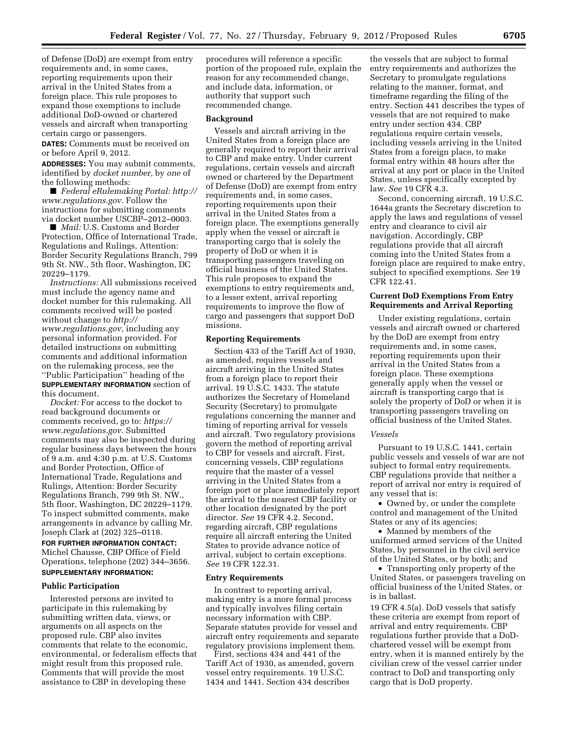of Defense (DoD) are exempt from entry requirements and, in some cases, reporting requirements upon their arrival in the United States from a foreign place. This rule proposes to expand those exemptions to include additional DoD-owned or chartered vessels and aircraft when transporting certain cargo or passengers.

**DATES:** Comments must be received on or before April 9, 2012.

**ADDRESSES:** You may submit comments, identified by *docket number,* by *one* of the following methods:

■ *Federal eRulemaking Portal: [http://](http://www.regulations.gov) [www.regulations.gov](http://www.regulations.gov)*. Follow the instructions for submitting comments via docket number USCBP–2012–0003.

■ *Mail:* U.S. Customs and Border Protection, Office of International Trade, Regulations and Rulings, Attention: Border Security Regulations Branch, 799 9th St. NW., 5th floor, Washington, DC 20229–1179.

*Instructions:* All submissions received must include the agency name and docket number for this rulemaking. All comments received will be posted without change to *[http://](http://www.regulations.gov) [www.regulations.gov,](http://www.regulations.gov)* including any personal information provided. For detailed instructions on submitting comments and additional information on the rulemaking process, see the ''Public Participation'' heading of the **SUPPLEMENTARY INFORMATION** section of this document.

*Docket:* For access to the docket to read background documents or comments received, go to: *[https://](https://www.regulations.gov) [www.regulations.gov.](https://www.regulations.gov)* Submitted comments may also be inspected during regular business days between the hours of 9 a.m. and 4:30 p.m. at U.S. Customs and Border Protection, Office of International Trade, Regulations and Rulings, Attention: Border Security Regulations Branch, 799 9th St. NW., 5th floor, Washington, DC 20229–1179. To inspect submitted comments, make arrangements in advance by calling Mr. Joseph Clark at (202) 325–0118.

**FOR FURTHER INFORMATION CONTACT:**  Michel Chausse, CBP Office of Field Operations, telephone (202) 344–3656. **SUPPLEMENTARY INFORMATION:** 

#### **Public Participation**

Interested persons are invited to participate in this rulemaking by submitting written data, views, or arguments on all aspects on the proposed rule. CBP also invites comments that relate to the economic, environmental, or federalism effects that might result from this proposed rule. Comments that will provide the most assistance to CBP in developing these

procedures will reference a specific portion of the proposed rule, explain the reason for any recommended change, and include data, information, or authority that support such recommended change.

#### **Background**

Vessels and aircraft arriving in the United States from a foreign place are generally required to report their arrival to CBP and make entry. Under current regulations, certain vessels and aircraft owned or chartered by the Department of Defense (DoD) are exempt from entry requirements and, in some cases, reporting requirements upon their arrival in the United States from a foreign place. The exemptions generally apply when the vessel or aircraft is transporting cargo that is solely the property of DoD or when it is transporting passengers traveling on official business of the United States. This rule proposes to expand the exemptions to entry requirements and, to a lesser extent, arrival reporting requirements to improve the flow of cargo and passengers that support DoD missions.

#### **Reporting Requirements**

Section 433 of the Tariff Act of 1930, as amended, requires vessels and aircraft arriving in the United States from a foreign place to report their arrival. 19 U.S.C. 1433. The statute authorizes the Secretary of Homeland Security (Secretary) to promulgate regulations concerning the manner and timing of reporting arrival for vessels and aircraft. Two regulatory provisions govern the method of reporting arrival to CBP for vessels and aircraft. First, concerning vessels, CBP regulations require that the master of a vessel arriving in the United States from a foreign port or place immediately report the arrival to the nearest CBP facility or other location designated by the port director. *See* 19 CFR 4.2. Second, regarding aircraft, CBP regulations require all aircraft entering the United States to provide advance notice of arrival, subject to certain exceptions. *See* 19 CFR 122.31.

#### **Entry Requirements**

In contrast to reporting arrival, making entry is a more formal process and typically involves filing certain necessary information with CBP. Separate statutes provide for vessel and aircraft entry requirements and separate regulatory provisions implement them.

First, sections 434 and 441 of the Tariff Act of 1930, as amended, govern vessel entry requirements. 19 U.S.C. 1434 and 1441. Section 434 describes

the vessels that are subject to formal entry requirements and authorizes the Secretary to promulgate regulations relating to the manner, format, and timeframe regarding the filing of the entry. Section 441 describes the types of vessels that are not required to make entry under section 434. CBP regulations require certain vessels, including vessels arriving in the United States from a foreign place, to make formal entry within 48 hours after the arrival at any port or place in the United States, unless specifically excepted by law. *See* 19 CFR 4.3.

Second, concerning aircraft, 19 U.S.C. 1644a grants the Secretary discretion to apply the laws and regulations of vessel entry and clearance to civil air navigation. Accordingly, CBP regulations provide that all aircraft coming into the United States from a foreign place are required to make entry, subject to specified exemptions. *See* 19 CFR 122.41.

## **Current DoD Exemptions From Entry Requirements and Arrival Reporting**

Under existing regulations, certain vessels and aircraft owned or chartered by the DoD are exempt from entry requirements and, in some cases, reporting requirements upon their arrival in the United States from a foreign place. These exemptions generally apply when the vessel or aircraft is transporting cargo that is solely the property of DoD or when it is transporting passengers traveling on official business of the United States.

#### *Vessels*

Pursuant to 19 U.S.C. 1441, certain public vessels and vessels of war are not subject to formal entry requirements. CBP regulations provide that neither a report of arrival nor entry is required of any vessel that is:

• Owned by, or under the complete control and management of the United States or any of its agencies;

• Manned by members of the uniformed armed services of the United States, by personnel in the civil service of the United States, or by both; and

• Transporting only property of the United States, or passengers traveling on official business of the United States, or is in ballast.

19 CFR 4.5(a). DoD vessels that satisfy these criteria are exempt from report of arrival and entry requirements. CBP regulations further provide that a DoDchartered vessel will be exempt from entry, when it is manned entirely by the civilian crew of the vessel carrier under contract to DoD and transporting only cargo that is DoD property.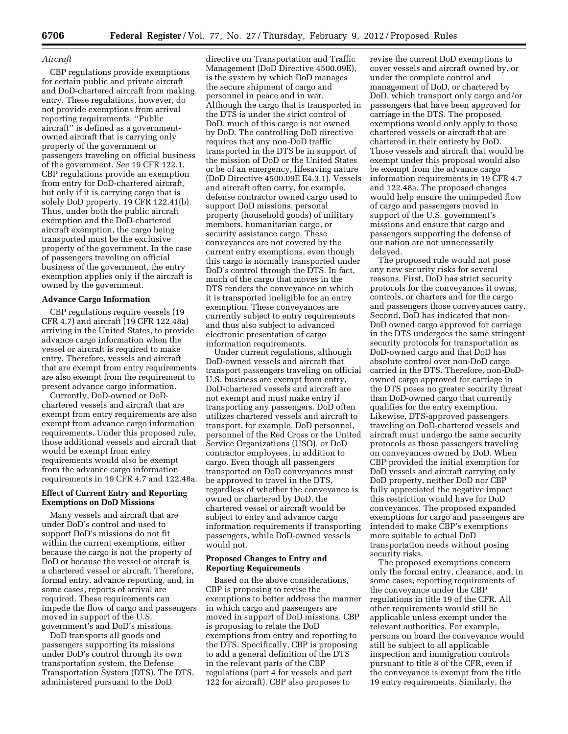### *Aircraft*

CBP regulations provide exemptions for certain public and private aircraft and DoD-chartered aircraft from making entry. These regulations, however, do not provide exemptions from arrival reporting requirements. ''Public aircraft'' is defined as a governmentowned aircraft that is carrying only property of the government or passengers traveling on official business of the government. *See* 19 CFR 122.1. CBP regulations provide an exemption from entry for DoD-chartered aircraft, but only if it is carrying cargo that is solely DoD property. 19 CFR 122.41(b). Thus, under both the public aircraft exemption and the DoD-chartered aircraft exemption, the cargo being transported must be the exclusive property of the government. In the case of passengers traveling on official business of the government, the entry exemption applies only if the aircraft is owned by the government.

### **Advance Cargo Information**

CBP regulations require vessels (19 CFR 4.7) and aircraft (19 CFR 122.48a) arriving in the United States, to provide advance cargo information when the vessel or aircraft is required to make entry. Therefore, vessels and aircraft that are exempt from entry requirements are also exempt from the requirement to present advance cargo information.

Currently, DoD-owned or DoDchartered vessels and aircraft that are exempt from entry requirements are also exempt from advance cargo information requirements. Under this proposed rule, those additional vessels and aircraft that would be exempt from entry requirements would also be exempt from the advance cargo information requirements in 19 CFR 4.7 and 122.48a.

## **Effect of Current Entry and Reporting Exemptions on DoD Missions**

Many vessels and aircraft that are under DoD's control and used to support DoD's missions do not fit within the current exemptions, either because the cargo is not the property of DoD or because the vessel or aircraft is a chartered vessel or aircraft. Therefore, formal entry, advance reporting, and, in some cases, reports of arrival are required. These requirements can impede the flow of cargo and passengers moved in support of the U.S. government's and DoD's missions.

DoD transports all goods and passengers supporting its missions under DoD's control through its own transportation system, the Defense Transportation System (DTS). The DTS, administered pursuant to the DoD

directive on Transportation and Traffic Management (DoD Directive 4500.09E), is the system by which DoD manages the secure shipment of cargo and personnel in peace and in war. Although the cargo that is transported in the DTS is under the strict control of DoD, much of this cargo is not owned by DoD. The controlling DoD directive requires that any non-DoD traffic transported in the DTS be in support of the mission of DoD or the United States or be of an emergency, lifesaving nature (DoD Directive 4500.09E E4.3.1). Vessels and aircraft often carry, for example, defense contractor owned cargo used to support DoD missions, personal property (household goods) of military members, humanitarian cargo, or security assistance cargo. These conveyances are not covered by the current entry exemptions, even though this cargo is normally transported under DoD's control through the DTS. In fact, much of the cargo that moves in the DTS renders the conveyance on which it is transported ineligible for an entry exemption. These conveyances are currently subject to entry requirements and thus also subject to advanced electronic presentation of cargo information requirements.

Under current regulations, although DoD-owned vessels and aircraft that transport passengers traveling on official U.S. business are exempt from entry, DoD-chartered vessels and aircraft are not exempt and must make entry if transporting any passengers. DoD often utilizes chartered vessels and aircraft to transport, for example, DoD personnel, personnel of the Red Cross or the United Service Organizations (USO), or DoD contractor employees, in addition to cargo. Even though all passengers transported on DoD conveyances must be approved to travel in the DTS, regardless of whether the conveyance is owned or chartered by DoD, the chartered vessel or aircraft would be subject to entry and advance cargo information requirements if transporting passengers, while DoD-owned vessels would not.

### **Proposed Changes to Entry and Reporting Requirements**

Based on the above considerations, CBP is proposing to revise the exemptions to better address the manner in which cargo and passengers are moved in support of DoD missions. CBP is proposing to relate the DoD exemptions from entry and reporting to the DTS. Specifically, CBP is proposing to add a general definition of the DTS in the relevant parts of the CBP regulations (part 4 for vessels and part 122 for aircraft). CBP also proposes to

revise the current DoD exemptions to cover vessels and aircraft owned by, or under the complete control and management of DoD, or chartered by DoD, which transport only cargo and/or passengers that have been approved for carriage in the DTS. The proposed exemptions would only apply to those chartered vessels or aircraft that are chartered in their entirety by DoD. Those vessels and aircraft that would be exempt under this proposal would also be exempt from the advance cargo information requirements in 19 CFR 4.7 and 122.48a. The proposed changes would help ensure the unimpeded flow of cargo and passengers moved in support of the U.S. government's missions and ensure that cargo and passengers supporting the defense of our nation are not unnecessarily delayed.

The proposed rule would not pose any new security risks for several reasons. First, DoD has strict security protocols for the conveyances it owns, controls, or charters and for the cargo and passengers those conveyances carry. Second, DoD has indicated that non-DoD owned cargo approved for carriage in the DTS undergoes the same stringent security protocols for transportation as DoD-owned cargo and that DoD has absolute control over non-DoD cargo carried in the DTS. Therefore, non-DoDowned cargo approved for carriage in the DTS poses no greater security threat than DoD-owned cargo that currently qualifies for the entry exemption. Likewise, DTS-approved passengers traveling on DoD-chartered vessels and aircraft must undergo the same security protocols as those passengers traveling on conveyances owned by DoD. When CBP provided the initial exemption for DoD vessels and aircraft carrying only DoD property, neither DoD nor CBP fully appreciated the negative impact this restriction would have for DoD conveyances. The proposed expanded exemptions for cargo and passengers are intended to make CBP's exemptions more suitable to actual DoD transportation needs without posing security risks.

The proposed exemptions concern only the formal entry, clearance, and, in some cases, reporting requirements of the conveyance under the CBP regulations in title 19 of the CFR. All other requirements would still be applicable unless exempt under the relevant authorities. For example, persons on board the conveyance would still be subject to all applicable inspection and immigration controls pursuant to title 8 of the CFR, even if the conveyance is exempt from the title 19 entry requirements. Similarly, the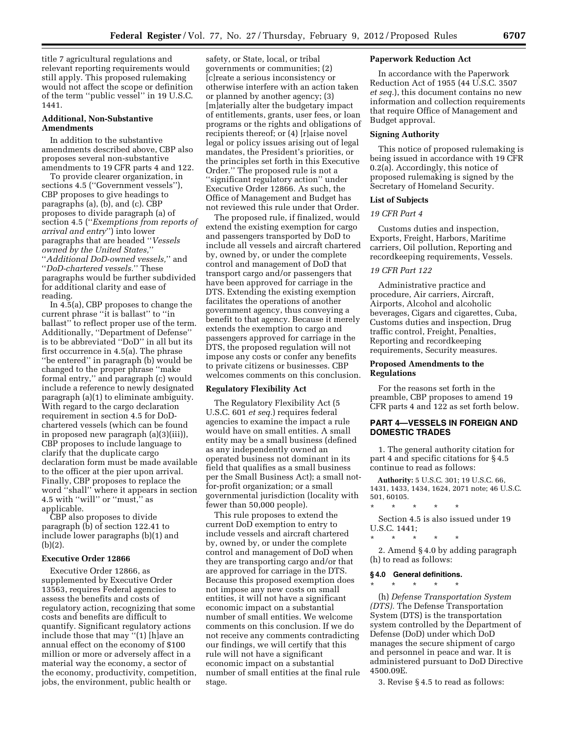title 7 agricultural regulations and relevant reporting requirements would still apply. This proposed rulemaking would not affect the scope or definition of the term ''public vessel'' in 19 U.S.C. 1441.

## **Additional, Non-Substantive Amendments**

In addition to the substantive amendments described above, CBP also proposes several non-substantive amendments to 19 CFR parts 4 and 122.

To provide clearer organization, in sections 4.5 ("Government vessels"), CBP proposes to give headings to paragraphs (a), (b), and (c). CBP proposes to divide paragraph (a) of section 4.5 (''*Exemptions from reports of arrival and entry*'') into lower paragraphs that are headed ''*Vessels owned by the United States,*'' ''*Additional DoD-owned vessels,*'' and ''*DoD-chartered vessels.*'' These paragraphs would be further subdivided for additional clarity and ease of reading.

In 4.5(a), CBP proposes to change the current phrase ''it is ballast'' to ''in ballast'' to reflect proper use of the term. Additionally, ''Department of Defense'' is to be abbreviated ''DoD'' in all but its first occurrence in 4.5(a). The phrase ''be entered'' in paragraph (b) would be changed to the proper phrase ''make formal entry,'' and paragraph (c) would include a reference to newly designated paragraph (a)(1) to eliminate ambiguity. With regard to the cargo declaration requirement in section 4.5 for DoDchartered vessels (which can be found in proposed new paragraph (a)(3)(iii)), CBP proposes to include language to clarify that the duplicate cargo declaration form must be made available to the officer at the pier upon arrival. Finally, CBP proposes to replace the word ''shall'' where it appears in section 4.5 with ''will'' or ''must,'' as applicable.

CBP also proposes to divide paragraph (b) of section 122.41 to include lower paragraphs (b)(1) and (b)(2).

#### **Executive Order 12866**

Executive Order 12866, as supplemented by Executive Order 13563, requires Federal agencies to assess the benefits and costs of regulatory action, recognizing that some costs and benefits are difficult to quantify. Significant regulatory actions include those that may ''(1) [h]ave an annual effect on the economy of \$100 million or more or adversely affect in a material way the economy, a sector of the economy, productivity, competition, jobs, the environment, public health or

safety, or State, local, or tribal governments or communities; (2) [c]reate a serious inconsistency or otherwise interfere with an action taken or planned by another agency; (3) [m]aterially alter the budgetary impact of entitlements, grants, user fees, or loan programs or the rights and obligations of recipients thereof; or (4) [r]aise novel legal or policy issues arising out of legal mandates, the President's priorities, or the principles set forth in this Executive Order.'' The proposed rule is not a ''significant regulatory action'' under Executive Order 12866. As such, the Office of Management and Budget has not reviewed this rule under that Order.

The proposed rule, if finalized, would extend the existing exemption for cargo and passengers transported by DoD to include all vessels and aircraft chartered by, owned by, or under the complete control and management of DoD that transport cargo and/or passengers that have been approved for carriage in the DTS. Extending the existing exemption facilitates the operations of another government agency, thus conveying a benefit to that agency. Because it merely extends the exemption to cargo and passengers approved for carriage in the DTS, the proposed regulation will not impose any costs or confer any benefits to private citizens or businesses. CBP welcomes comments on this conclusion.

### **Regulatory Flexibility Act**

The Regulatory Flexibility Act (5 U.S.C. 601 *et seq.*) requires federal agencies to examine the impact a rule would have on small entities. A small entity may be a small business (defined as any independently owned an operated business not dominant in its field that qualifies as a small business per the Small Business Act); a small notfor-profit organization; or a small governmental jurisdiction (locality with fewer than 50,000 people).

This rule proposes to extend the current DoD exemption to entry to include vessels and aircraft chartered by, owned by, or under the complete control and management of DoD when they are transporting cargo and/or that are approved for carriage in the DTS. Because this proposed exemption does not impose any new costs on small entities, it will not have a significant economic impact on a substantial number of small entities. We welcome comments on this conclusion. If we do not receive any comments contradicting our findings, we will certify that this rule will not have a significant economic impact on a substantial number of small entities at the final rule stage.

#### **Paperwork Reduction Act**

In accordance with the Paperwork Reduction Act of 1955 (44 U.S.C. 3507 *et seq.*), this document contains no new information and collection requirements that require Office of Management and Budget approval.

### **Signing Authority**

This notice of proposed rulemaking is being issued in accordance with 19 CFR 0.2(a). Accordingly, this notice of proposed rulemaking is signed by the Secretary of Homeland Security.

### **List of Subjects**

## *19 CFR Part 4*

Customs duties and inspection, Exports, Freight, Harbors, Maritime carriers, Oil pollution, Reporting and recordkeeping requirements, Vessels.

### *19 CFR Part 122*

Administrative practice and procedure, Air carriers, Aircraft, Airports, Alcohol and alcoholic beverages, Cigars and cigarettes, Cuba, Customs duties and inspection, Drug traffic control, Freight, Penalties, Reporting and recordkeeping requirements, Security measures.

### **Proposed Amendments to the Regulations**

For the reasons set forth in the preamble, CBP proposes to amend 19 CFR parts 4 and 122 as set forth below.

## **PART 4—VESSELS IN FOREIGN AND DOMESTIC TRADES**

1. The general authority citation for part 4 and specific citations for § 4.5 continue to read as follows:

**Authority:** 5 U.S.C. 301; 19 U.S.C. 66, 1431, 1433, 1434, 1624, 2071 note; 46 U.S.C. 501, 60105.

\* \* \* \* \*

Section 4.5 is also issued under 19 U.S.C. 1441;

2. Amend § 4.0 by adding paragraph (h) to read as follows:

#### **§ 4.0 General definitions.**

\* \* \* \* \*

\* \* \* \* \*

(h) *Defense Transportation System (DTS).* The Defense Transportation System (DTS) is the transportation system controlled by the Department of Defense (DoD) under which DoD manages the secure shipment of cargo and personnel in peace and war. It is administered pursuant to DoD Directive 4500.09E.

3. Revise § 4.5 to read as follows: